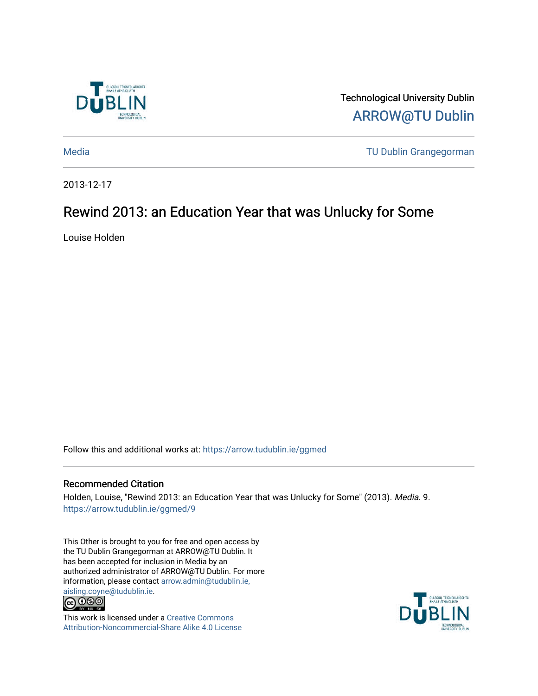

Technological University Dublin [ARROW@TU Dublin](https://arrow.tudublin.ie/) 

[Media](https://arrow.tudublin.ie/ggmed) [TU Dublin Grangegorman](https://arrow.tudublin.ie/ditgg) 

2013-12-17

## Rewind 2013: an Education Year that was Unlucky for Some

Louise Holden

Follow this and additional works at: [https://arrow.tudublin.ie/ggmed](https://arrow.tudublin.ie/ggmed?utm_source=arrow.tudublin.ie%2Fggmed%2F9&utm_medium=PDF&utm_campaign=PDFCoverPages) 

### Recommended Citation

Holden, Louise, "Rewind 2013: an Education Year that was Unlucky for Some" (2013). Media. 9. [https://arrow.tudublin.ie/ggmed/9](https://arrow.tudublin.ie/ggmed/9?utm_source=arrow.tudublin.ie%2Fggmed%2F9&utm_medium=PDF&utm_campaign=PDFCoverPages) 

This Other is brought to you for free and open access by the TU Dublin Grangegorman at ARROW@TU Dublin. It has been accepted for inclusion in Media by an authorized administrator of ARROW@TU Dublin. For more information, please contact [arrow.admin@tudublin.ie,](mailto:arrow.admin@tudublin.ie,%20aisling.coyne@tudublin.ie) 



This work is licensed under a [Creative Commons](http://creativecommons.org/licenses/by-nc-sa/4.0/) [Attribution-Noncommercial-Share Alike 4.0 License](http://creativecommons.org/licenses/by-nc-sa/4.0/)

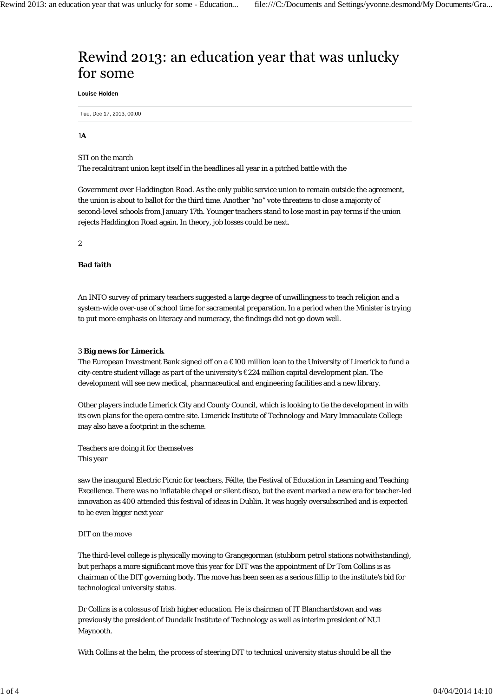# Rewind 2013: an education year that was unlucky for some

**Louise Holden**

Tue, Dec 17, 2013, 00:00

#### 1**A**

STI on the march

The recalcitrant union kept itself in the headlines all year in a pitched battle with the

Government over Haddington Road. As the only public service union to remain outside the agreement, the union is about to ballot for the third time. Another "no" vote threatens to close a majority of second-level schools from January 17th. Younger teachers stand to lose most in pay terms if the union rejects Haddington Road again. In theory, job losses could be next.

2

#### **Bad faith**

An INTO survey of primary teachers suggested a large degree of unwillingness to teach religion and a system-wide over-use of school time for sacramental preparation. In a period when the Minister is trying to put more emphasis on literacy and numeracy, the findings did not go down well.

#### 3 **Big news for Limerick**

The European Investment Bank signed off on a €100 million loan to the University of Limerick to fund a city-centre student village as part of the university's €224 million capital development plan. The development will see new medical, pharmaceutical and engineering facilities and a new library.

Other players include Limerick City and County Council, which is looking to tie the development in with its own plans for the opera centre site. Limerick Institute of Technology and Mary Immaculate College may also have a footprint in the scheme.

Teachers are doing it for themselves This year

saw the inaugural Electric Picnic for teachers, Féilte, the Festival of Education in Learning and Teaching Excellence. There was no inflatable chapel or silent disco, but the event marked a new era for teacher-led innovation as 400 attended this festival of ideas in Dublin. It was hugely oversubscribed and is expected to be even bigger next year

#### DIT on the move

The third-level college is physically moving to Grangegorman (stubborn petrol stations notwithstanding), but perhaps a more significant move this year for DIT was the appointment of Dr Tom Collins is as chairman of the DIT governing body. The move has been seen as a serious fillip to the institute's bid for technological university status.

Dr Collins is a colossus of Irish higher education. He is chairman of IT Blanchardstown and was previously the president of Dundalk Institute of Technology as well as interim president of NUI Maynooth.

With Collins at the helm, the process of steering DIT to technical university status should be all the